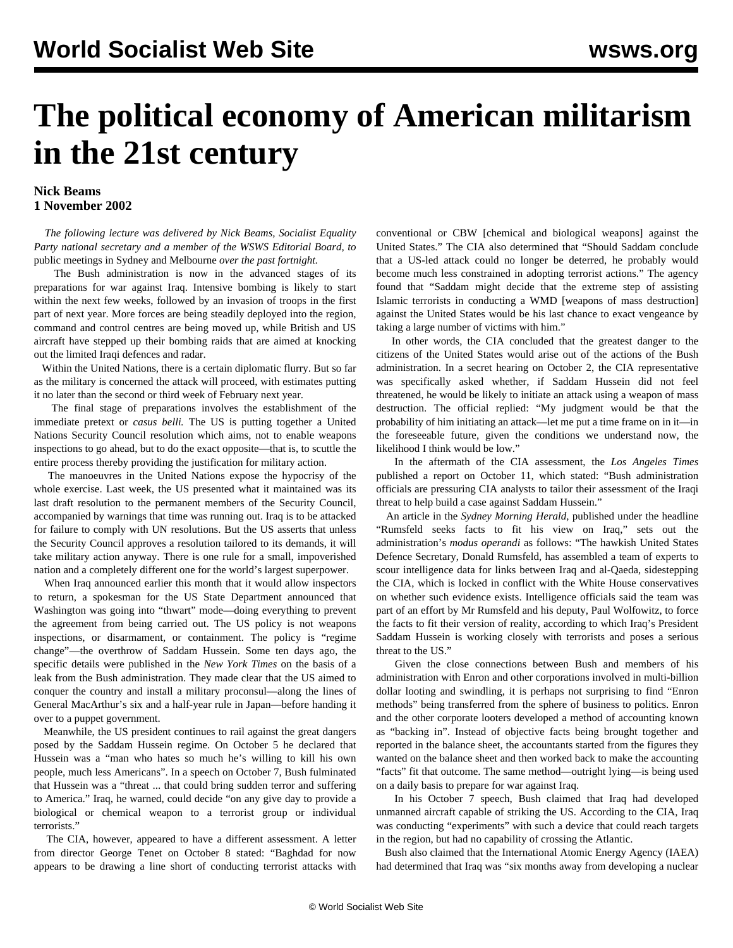## **The political economy of American militarism in the 21st century**

## **Nick Beams 1 November 2002**

 *The following lecture was delivered by Nick Beams, Socialist Equality Party national secretary and a member of the WSWS Editorial Board, to* [public meetings in Sydney and Melbourne](meet-n01.shtml) *over the past fortnight.*

 The Bush administration is now in the advanced stages of its preparations for war against Iraq. Intensive bombing is likely to start within the next few weeks, followed by an invasion of troops in the first part of next year. More forces are being steadily deployed into the region, command and control centres are being moved up, while British and US aircraft have stepped up their bombing raids that are aimed at knocking out the limited Iraqi defences and radar.

 Within the United Nations, there is a certain diplomatic flurry. But so far as the military is concerned the attack will proceed, with estimates putting it no later than the second or third week of February next year.

 The final stage of preparations involves the establishment of the immediate pretext or *casus belli.* The US is putting together a United Nations Security Council resolution which aims, not to enable weapons inspections to go ahead, but to do the exact opposite—that is, to scuttle the entire process thereby providing the justification for military action.

 The manoeuvres in the United Nations expose the hypocrisy of the whole exercise. Last week, the US presented what it maintained was its last draft resolution to the permanent members of the Security Council, accompanied by warnings that time was running out. Iraq is to be attacked for failure to comply with UN resolutions. But the US asserts that unless the Security Council approves a resolution tailored to its demands, it will take military action anyway. There is one rule for a small, impoverished nation and a completely different one for the world's largest superpower.

 When Iraq announced earlier this month that it would allow inspectors to return, a spokesman for the US State Department announced that Washington was going into "thwart" mode—doing everything to prevent the agreement from being carried out. The US policy is not weapons inspections, or disarmament, or containment. The policy is "regime change"—the overthrow of Saddam Hussein. Some ten days ago, the specific details were published in the *New York Times* on the basis of a leak from the Bush administration. They made clear that the US aimed to conquer the country and install a military proconsul—along the lines of General MacArthur's six and a half-year rule in Japan—before handing it over to a puppet government.

 Meanwhile, the US president continues to rail against the great dangers posed by the Saddam Hussein regime. On October 5 he declared that Hussein was a "man who hates so much he's willing to kill his own people, much less Americans". In a speech on October 7, Bush fulminated that Hussein was a "threat ... that could bring sudden terror and suffering to America." Iraq, he warned, could decide "on any give day to provide a biological or chemical weapon to a terrorist group or individual terrorists."

 The CIA, however, appeared to have a different assessment. A letter from director George Tenet on October 8 stated: "Baghdad for now appears to be drawing a line short of conducting terrorist attacks with conventional or CBW [chemical and biological weapons] against the United States." The CIA also determined that "Should Saddam conclude that a US-led attack could no longer be deterred, he probably would become much less constrained in adopting terrorist actions." The agency found that "Saddam might decide that the extreme step of assisting Islamic terrorists in conducting a WMD [weapons of mass destruction] against the United States would be his last chance to exact vengeance by taking a large number of victims with him."

 In other words, the CIA concluded that the greatest danger to the citizens of the United States would arise out of the actions of the Bush administration. In a secret hearing on October 2, the CIA representative was specifically asked whether, if Saddam Hussein did not feel threatened, he would be likely to initiate an attack using a weapon of mass destruction. The official replied: "My judgment would be that the probability of him initiating an attack—let me put a time frame on in it—in the foreseeable future, given the conditions we understand now, the likelihood I think would be low."

 In the aftermath of the CIA assessment, the *Los Angeles Times* published a report on October 11, which stated: "Bush administration officials are pressuring CIA analysts to tailor their assessment of the Iraqi threat to help build a case against Saddam Hussein."

 An article in the *Sydney Morning Herald*, published under the headline "Rumsfeld seeks facts to fit his view on Iraq," sets out the administration's *modus operandi* as follows: "The hawkish United States Defence Secretary, Donald Rumsfeld, has assembled a team of experts to scour intelligence data for links between Iraq and al-Qaeda, sidestepping the CIA, which is locked in conflict with the White House conservatives on whether such evidence exists. Intelligence officials said the team was part of an effort by Mr Rumsfeld and his deputy, Paul Wolfowitz, to force the facts to fit their version of reality, according to which Iraq's President Saddam Hussein is working closely with terrorists and poses a serious threat to the US."

 Given the close connections between Bush and members of his administration with Enron and other corporations involved in multi-billion dollar looting and swindling, it is perhaps not surprising to find "Enron methods" being transferred from the sphere of business to politics. Enron and the other corporate looters developed a method of accounting known as "backing in". Instead of objective facts being brought together and reported in the balance sheet, the accountants started from the figures they wanted on the balance sheet and then worked back to make the accounting "facts" fit that outcome. The same method—outright lying—is being used on a daily basis to prepare for war against Iraq.

 In his October 7 speech, Bush claimed that Iraq had developed unmanned aircraft capable of striking the US. According to the CIA, Iraq was conducting "experiments" with such a device that could reach targets in the region, but had no capability of crossing the Atlantic.

 Bush also claimed that the International Atomic Energy Agency (IAEA) had determined that Iraq was "six months away from developing a nuclear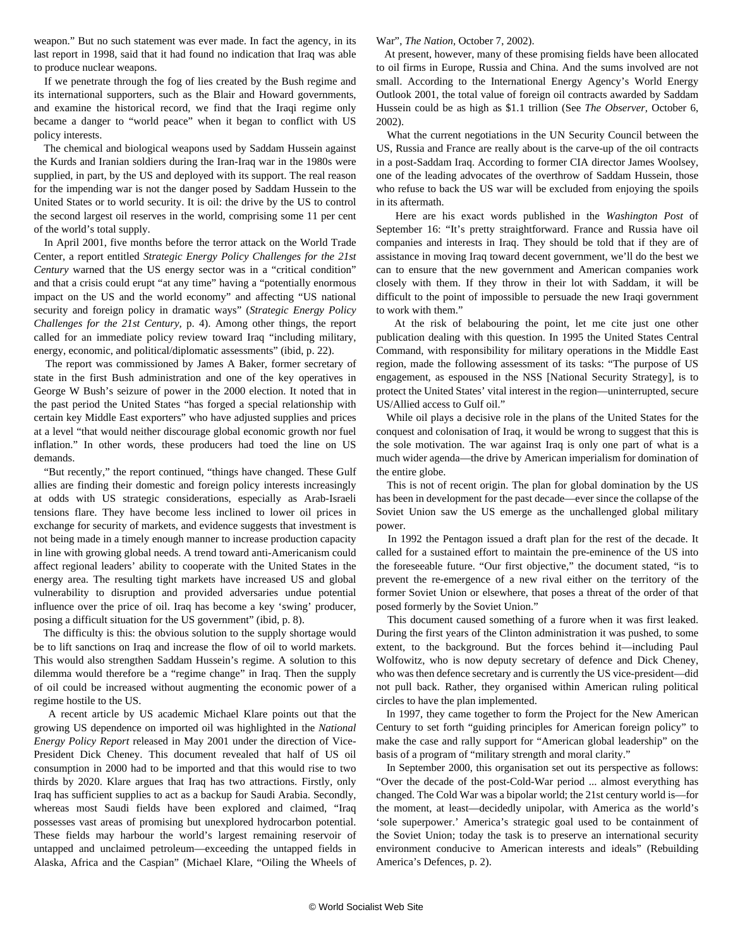weapon." But no such statement was ever made. In fact the agency, in its last report in 1998, said that it had found no indication that Iraq was able to produce nuclear weapons.

 If we penetrate through the fog of lies created by the Bush regime and its international supporters, such as the Blair and Howard governments, and examine the historical record, we find that the Iraqi regime only became a danger to "world peace" when it began to conflict with US policy interests.

 The chemical and biological weapons used by Saddam Hussein against the Kurds and Iranian soldiers during the Iran-Iraq war in the 1980s were supplied, in part, by the US and deployed with its support. The real reason for the impending war is not the danger posed by Saddam Hussein to the United States or to world security. It is oil: the drive by the US to control the second largest oil reserves in the world, comprising some 11 per cent of the world's total supply.

 In April 2001, five months before the terror attack on the World Trade Center, a report entitled *Strategic Energy Policy Challenges for the 21st Century* warned that the US energy sector was in a "critical condition" and that a crisis could erupt "at any time" having a "potentially enormous impact on the US and the world economy" and affecting "US national security and foreign policy in dramatic ways" (*Strategic Energy Policy Challenges for the 21st Century,* p. 4). Among other things, the report called for an immediate policy review toward Iraq "including military, energy, economic, and political/diplomatic assessments" (ibid, p. 22).

 The report was commissioned by James A Baker, former secretary of state in the first Bush administration and one of the key operatives in George W Bush's seizure of power in the 2000 election. It noted that in the past period the United States "has forged a special relationship with certain key Middle East exporters" who have adjusted supplies and prices at a level "that would neither discourage global economic growth nor fuel inflation." In other words, these producers had toed the line on US demands.

 "But recently," the report continued, "things have changed. These Gulf allies are finding their domestic and foreign policy interests increasingly at odds with US strategic considerations, especially as Arab-Israeli tensions flare. They have become less inclined to lower oil prices in exchange for security of markets, and evidence suggests that investment is not being made in a timely enough manner to increase production capacity in line with growing global needs. A trend toward anti-Americanism could affect regional leaders' ability to cooperate with the United States in the energy area. The resulting tight markets have increased US and global vulnerability to disruption and provided adversaries undue potential influence over the price of oil. Iraq has become a key 'swing' producer, posing a difficult situation for the US government" (ibid, p. 8).

 The difficulty is this: the obvious solution to the supply shortage would be to lift sanctions on Iraq and increase the flow of oil to world markets. This would also strengthen Saddam Hussein's regime. A solution to this dilemma would therefore be a "regime change" in Iraq. Then the supply of oil could be increased without augmenting the economic power of a regime hostile to the US.

 A recent article by US academic Michael Klare points out that the growing US dependence on imported oil was highlighted in the *National Energy Policy Report* released in May 2001 under the direction of Vice-President Dick Cheney. This document revealed that half of US oil consumption in 2000 had to be imported and that this would rise to two thirds by 2020. Klare argues that Iraq has two attractions. Firstly, only Iraq has sufficient supplies to act as a backup for Saudi Arabia. Secondly, whereas most Saudi fields have been explored and claimed, "Iraq possesses vast areas of promising but unexplored hydrocarbon potential. These fields may harbour the world's largest remaining reservoir of untapped and unclaimed petroleum—exceeding the untapped fields in Alaska, Africa and the Caspian" (Michael Klare, "Oiling the Wheels of

## War", *The Nation,* October 7, 2002).

 At present, however, many of these promising fields have been allocated to oil firms in Europe, Russia and China. And the sums involved are not small. According to the International Energy Agency's World Energy Outlook 2001, the total value of foreign oil contracts awarded by Saddam Hussein could be as high as \$1.1 trillion (See *The Observer,* October 6, 2002).

 What the current negotiations in the UN Security Council between the US, Russia and France are really about is the carve-up of the oil contracts in a post-Saddam Iraq. According to former CIA director James Woolsey, one of the leading advocates of the overthrow of Saddam Hussein, those who refuse to back the US war will be excluded from enjoying the spoils in its aftermath.

 Here are his exact words published in the *Washington Post* of September 16: "It's pretty straightforward. France and Russia have oil companies and interests in Iraq. They should be told that if they are of assistance in moving Iraq toward decent government, we'll do the best we can to ensure that the new government and American companies work closely with them. If they throw in their lot with Saddam, it will be difficult to the point of impossible to persuade the new Iraqi government to work with them."

 At the risk of belabouring the point, let me cite just one other publication dealing with this question. In 1995 the United States Central Command, with responsibility for military operations in the Middle East region, made the following assessment of its tasks: "The purpose of US engagement, as espoused in the NSS [National Security Strategy], is to protect the United States' vital interest in the region—uninterrupted, secure US/Allied access to Gulf oil."

 While oil plays a decisive role in the plans of the United States for the conquest and colonisation of Iraq, it would be wrong to suggest that this is the sole motivation. The war against Iraq is only one part of what is a much wider agenda—the drive by American imperialism for domination of the entire globe.

 This is not of recent origin. The plan for global domination by the US has been in development for the past decade—ever since the collapse of the Soviet Union saw the US emerge as the unchallenged global military power.

 In 1992 the Pentagon issued a draft plan for the rest of the decade. It called for a sustained effort to maintain the pre-eminence of the US into the foreseeable future. "Our first objective," the document stated, "is to prevent the re-emergence of a new rival either on the territory of the former Soviet Union or elsewhere, that poses a threat of the order of that posed formerly by the Soviet Union."

 This document caused something of a furore when it was first leaked. During the first years of the Clinton administration it was pushed, to some extent, to the background. But the forces behind it—including Paul Wolfowitz, who is now deputy secretary of defence and Dick Cheney, who was then defence secretary and is currently the US vice-president—did not pull back. Rather, they organised within American ruling political circles to have the plan implemented.

 In 1997, they came together to form the Project for the New American Century to set forth "guiding principles for American foreign policy" to make the case and rally support for "American global leadership" on the basis of a program of "military strength and moral clarity."

 In September 2000, this organisation set out its perspective as follows: "Over the decade of the post-Cold-War period ... almost everything has changed. The Cold War was a bipolar world; the 21st century world is—for the moment, at least—decidedly unipolar, with America as the world's 'sole superpower.' America's strategic goal used to be containment of the Soviet Union; today the task is to preserve an international security environment conducive to American interests and ideals" (Rebuilding America's Defences, p. 2).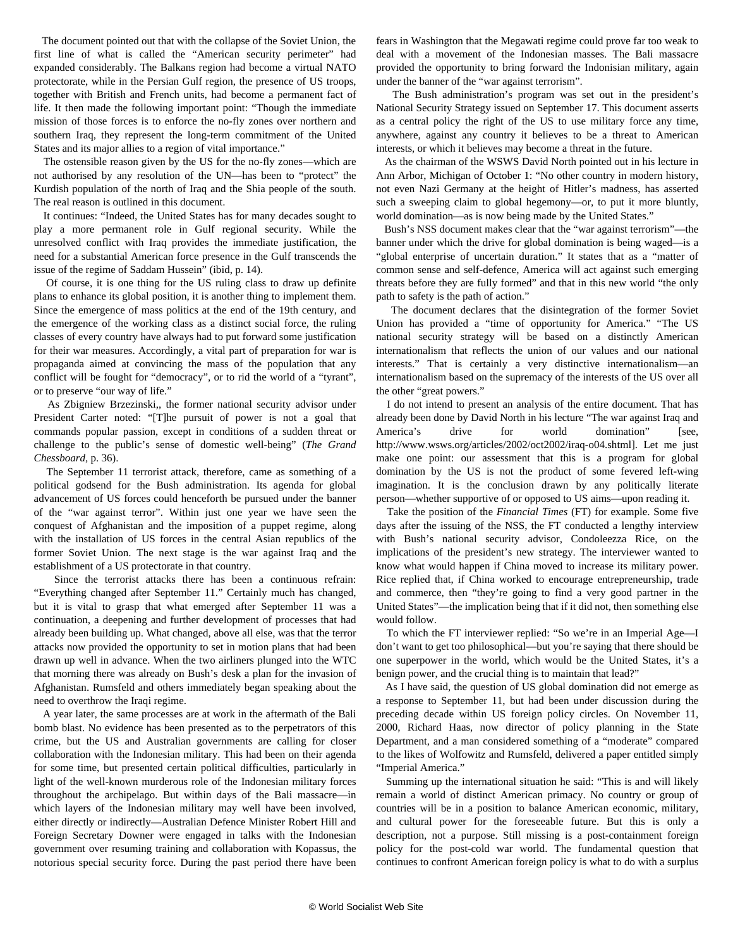The document pointed out that with the collapse of the Soviet Union, the first line of what is called the "American security perimeter" had expanded considerably. The Balkans region had become a virtual NATO protectorate, while in the Persian Gulf region, the presence of US troops, together with British and French units, had become a permanent fact of life. It then made the following important point: "Though the immediate mission of those forces is to enforce the no-fly zones over northern and southern Iraq, they represent the long-term commitment of the United States and its major allies to a region of vital importance."

 The ostensible reason given by the US for the no-fly zones—which are not authorised by any resolution of the UN—has been to "protect" the Kurdish population of the north of Iraq and the Shia people of the south. The real reason is outlined in this document.

 It continues: "Indeed, the United States has for many decades sought to play a more permanent role in Gulf regional security. While the unresolved conflict with Iraq provides the immediate justification, the need for a substantial American force presence in the Gulf transcends the issue of the regime of Saddam Hussein" (ibid, p. 14).

 Of course, it is one thing for the US ruling class to draw up definite plans to enhance its global position, it is another thing to implement them. Since the emergence of mass politics at the end of the 19th century, and the emergence of the working class as a distinct social force, the ruling classes of every country have always had to put forward some justification for their war measures. Accordingly, a vital part of preparation for war is propaganda aimed at convincing the mass of the population that any conflict will be fought for "democracy", or to rid the world of a "tyrant", or to preserve "our way of life."

 As Zbigniew Brzezinski,, the former national security advisor under President Carter noted: "[T]he pursuit of power is not a goal that commands popular passion, except in conditions of a sudden threat or challenge to the public's sense of domestic well-being" (*The Grand Chessboard,* p. 36).

 The September 11 terrorist attack, therefore, came as something of a political godsend for the Bush administration. Its agenda for global advancement of US forces could henceforth be pursued under the banner of the "war against terror". Within just one year we have seen the conquest of Afghanistan and the imposition of a puppet regime, along with the installation of US forces in the central Asian republics of the former Soviet Union. The next stage is the war against Iraq and the establishment of a US protectorate in that country.

 Since the terrorist attacks there has been a continuous refrain: "Everything changed after September 11." Certainly much has changed, but it is vital to grasp that what emerged after September 11 was a continuation, a deepening and further development of processes that had already been building up. What changed, above all else, was that the terror attacks now provided the opportunity to set in motion plans that had been drawn up well in advance. When the two airliners plunged into the WTC that morning there was already on Bush's desk a plan for the invasion of Afghanistan. Rumsfeld and others immediately began speaking about the need to overthrow the Iraqi regime.

 A year later, the same processes are at work in the aftermath of the Bali bomb blast. No evidence has been presented as to the perpetrators of this crime, but the US and Australian governments are calling for closer collaboration with the Indonesian military. This had been on their agenda for some time, but presented certain political difficulties, particularly in light of the well-known murderous role of the Indonesian military forces throughout the archipelago. But within days of the Bali massacre—in which layers of the Indonesian military may well have been involved, either directly or indirectly—Australian Defence Minister Robert Hill and Foreign Secretary Downer were engaged in talks with the Indonesian government over resuming training and collaboration with Kopassus, the notorious special security force. During the past period there have been fears in Washington that the Megawati regime could prove far too weak to deal with a movement of the Indonesian masses. The Bali massacre provided the opportunity to bring forward the Indonisian military, again under the banner of the "war against terrorism".

 The Bush administration's program was set out in the president's National Security Strategy issued on September 17. This document asserts as a central policy the right of the US to use military force any time, anywhere, against any country it believes to be a threat to American interests, or which it believes may become a threat in the future.

 As the chairman of the WSWS David North pointed out in his lecture in Ann Arbor, Michigan of October 1: "No other country in modern history, not even Nazi Germany at the height of Hitler's madness, has asserted such a sweeping claim to global hegemony—or, to put it more bluntly, world domination—as is now being made by the United States."

 Bush's NSS document makes clear that the "war against terrorism"—the banner under which the drive for global domination is being waged—is a "global enterprise of uncertain duration." It states that as a "matter of common sense and self-defence, America will act against such emerging threats before they are fully formed" and that in this new world "the only path to safety is the path of action."

 The document declares that the disintegration of the former Soviet Union has provided a "time of opportunity for America." "The US national security strategy will be based on a distinctly American internationalism that reflects the union of our values and our national interests." That is certainly a very distinctive internationalism—an internationalism based on the supremacy of the interests of the US over all the other "great powers."

 I do not intend to present an analysis of the entire document. That has already been done by David North in his lecture "The war against Iraq and America's drive for world domination" [see, http://www.wsws.org/articles/2002/oct2002/iraq-o04.shtml]. Let me just make one point: our assessment that this is a program for global domination by the US is not the product of some fevered left-wing imagination. It is the conclusion drawn by any politically literate person—whether supportive of or opposed to US aims—upon reading it.

 Take the position of the *Financial Times* (FT) for example. Some five days after the issuing of the NSS, the FT conducted a lengthy interview with Bush's national security advisor, Condoleezza Rice, on the implications of the president's new strategy. The interviewer wanted to know what would happen if China moved to increase its military power. Rice replied that, if China worked to encourage entrepreneurship, trade and commerce, then "they're going to find a very good partner in the United States"—the implication being that if it did not, then something else would follow.

 To which the FT interviewer replied: "So we're in an Imperial Age—I don't want to get too philosophical—but you're saying that there should be one superpower in the world, which would be the United States, it's a benign power, and the crucial thing is to maintain that lead?"

 As I have said, the question of US global domination did not emerge as a response to September 11, but had been under discussion during the preceding decade within US foreign policy circles. On November 11, 2000, Richard Haas, now director of policy planning in the State Department, and a man considered something of a "moderate" compared to the likes of Wolfowitz and Rumsfeld, delivered a paper entitled simply "Imperial America."

 Summing up the international situation he said: "This is and will likely remain a world of distinct American primacy. No country or group of countries will be in a position to balance American economic, military, and cultural power for the foreseeable future. But this is only a description, not a purpose. Still missing is a post-containment foreign policy for the post-cold war world. The fundamental question that continues to confront American foreign policy is what to do with a surplus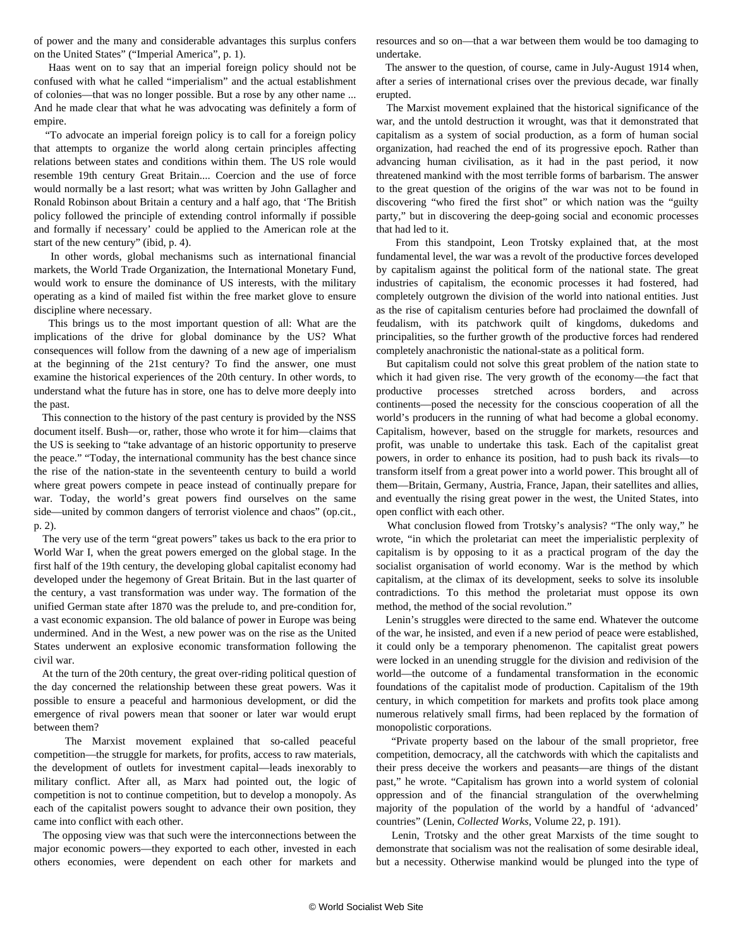of power and the many and considerable advantages this surplus confers on the United States" ("Imperial America", p. 1).

 Haas went on to say that an imperial foreign policy should not be confused with what he called "imperialism" and the actual establishment of colonies—that was no longer possible. But a rose by any other name ... And he made clear that what he was advocating was definitely a form of empire.

 "To advocate an imperial foreign policy is to call for a foreign policy that attempts to organize the world along certain principles affecting relations between states and conditions within them. The US role would resemble 19th century Great Britain.... Coercion and the use of force would normally be a last resort; what was written by John Gallagher and Ronald Robinson about Britain a century and a half ago, that 'The British policy followed the principle of extending control informally if possible and formally if necessary' could be applied to the American role at the start of the new century" (ibid, p. 4).

 In other words, global mechanisms such as international financial markets, the World Trade Organization, the International Monetary Fund, would work to ensure the dominance of US interests, with the military operating as a kind of mailed fist within the free market glove to ensure discipline where necessary.

 This brings us to the most important question of all: What are the implications of the drive for global dominance by the US? What consequences will follow from the dawning of a new age of imperialism at the beginning of the 21st century? To find the answer, one must examine the historical experiences of the 20th century. In other words, to understand what the future has in store, one has to delve more deeply into the past.

 This connection to the history of the past century is provided by the NSS document itself. Bush—or, rather, those who wrote it for him—claims that the US is seeking to "take advantage of an historic opportunity to preserve the peace." "Today, the international community has the best chance since the rise of the nation-state in the seventeenth century to build a world where great powers compete in peace instead of continually prepare for war. Today, the world's great powers find ourselves on the same side—united by common dangers of terrorist violence and chaos" (op.cit., p. 2).

 The very use of the term "great powers" takes us back to the era prior to World War I, when the great powers emerged on the global stage. In the first half of the 19th century, the developing global capitalist economy had developed under the hegemony of Great Britain. But in the last quarter of the century, a vast transformation was under way. The formation of the unified German state after 1870 was the prelude to, and pre-condition for, a vast economic expansion. The old balance of power in Europe was being undermined. And in the West, a new power was on the rise as the United States underwent an explosive economic transformation following the civil war.

 At the turn of the 20th century, the great over-riding political question of the day concerned the relationship between these great powers. Was it possible to ensure a peaceful and harmonious development, or did the emergence of rival powers mean that sooner or later war would erupt between them?

 The Marxist movement explained that so-called peaceful competition—the struggle for markets, for profits, access to raw materials, the development of outlets for investment capital—leads inexorably to military conflict. After all, as Marx had pointed out, the logic of competition is not to continue competition, but to develop a monopoly. As each of the capitalist powers sought to advance their own position, they came into conflict with each other.

 The opposing view was that such were the interconnections between the major economic powers—they exported to each other, invested in each others economies, were dependent on each other for markets and resources and so on—that a war between them would be too damaging to undertake.

 The answer to the question, of course, came in July-August 1914 when, after a series of international crises over the previous decade, war finally erupted.

 The Marxist movement explained that the historical significance of the war, and the untold destruction it wrought, was that it demonstrated that capitalism as a system of social production, as a form of human social organization, had reached the end of its progressive epoch. Rather than advancing human civilisation, as it had in the past period, it now threatened mankind with the most terrible forms of barbarism. The answer to the great question of the origins of the war was not to be found in discovering "who fired the first shot" or which nation was the "guilty party," but in discovering the deep-going social and economic processes that had led to it.

 From this standpoint, Leon Trotsky explained that, at the most fundamental level, the war was a revolt of the productive forces developed by capitalism against the political form of the national state. The great industries of capitalism, the economic processes it had fostered, had completely outgrown the division of the world into national entities. Just as the rise of capitalism centuries before had proclaimed the downfall of feudalism, with its patchwork quilt of kingdoms, dukedoms and principalities, so the further growth of the productive forces had rendered completely anachronistic the national-state as a political form.

 But capitalism could not solve this great problem of the nation state to which it had given rise. The very growth of the economy—the fact that productive processes stretched across borders, and across continents—posed the necessity for the conscious cooperation of all the world's producers in the running of what had become a global economy. Capitalism, however, based on the struggle for markets, resources and profit, was unable to undertake this task. Each of the capitalist great powers, in order to enhance its position, had to push back its rivals—to transform itself from a great power into a world power. This brought all of them—Britain, Germany, Austria, France, Japan, their satellites and allies, and eventually the rising great power in the west, the United States, into open conflict with each other.

 What conclusion flowed from Trotsky's analysis? "The only way," he wrote, "in which the proletariat can meet the imperialistic perplexity of capitalism is by opposing to it as a practical program of the day the socialist organisation of world economy. War is the method by which capitalism, at the climax of its development, seeks to solve its insoluble contradictions. To this method the proletariat must oppose its own method, the method of the social revolution."

 Lenin's struggles were directed to the same end. Whatever the outcome of the war, he insisted, and even if a new period of peace were established, it could only be a temporary phenomenon. The capitalist great powers were locked in an unending struggle for the division and redivision of the world—the outcome of a fundamental transformation in the economic foundations of the capitalist mode of production. Capitalism of the 19th century, in which competition for markets and profits took place among numerous relatively small firms, had been replaced by the formation of monopolistic corporations.

 "Private property based on the labour of the small proprietor, free competition, democracy, all the catchwords with which the capitalists and their press deceive the workers and peasants—are things of the distant past," he wrote. "Capitalism has grown into a world system of colonial oppression and of the financial strangulation of the overwhelming majority of the population of the world by a handful of 'advanced' countries" (Lenin, *Collected Works*, Volume 22, p. 191).

 Lenin, Trotsky and the other great Marxists of the time sought to demonstrate that socialism was not the realisation of some desirable ideal, but a necessity. Otherwise mankind would be plunged into the type of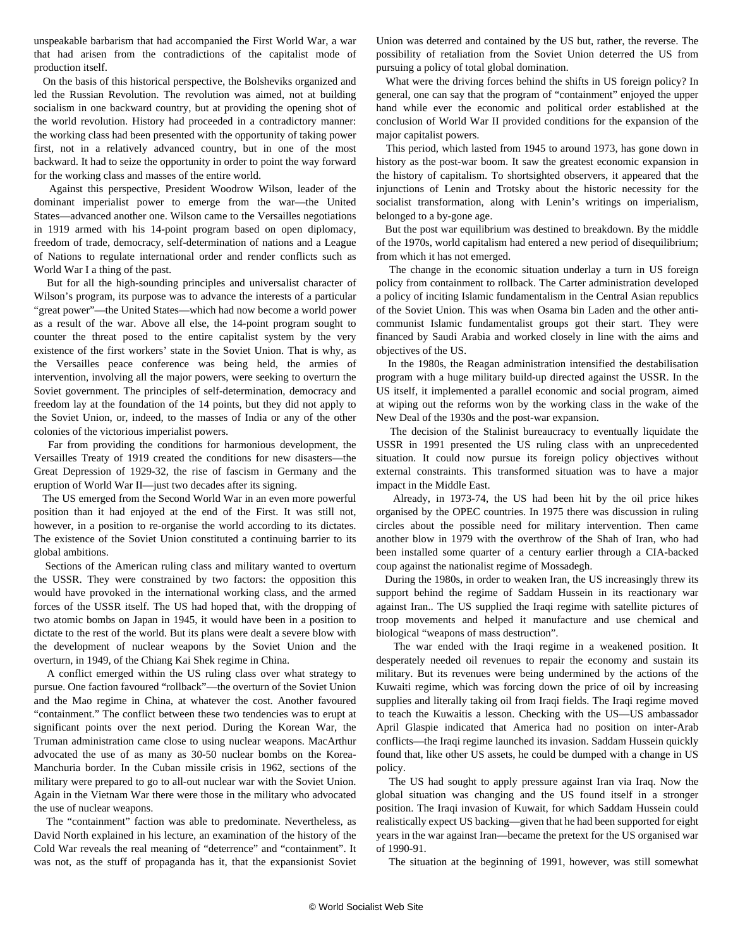unspeakable barbarism that had accompanied the First World War, a war that had arisen from the contradictions of the capitalist mode of production itself.

 On the basis of this historical perspective, the Bolsheviks organized and led the Russian Revolution. The revolution was aimed, not at building socialism in one backward country, but at providing the opening shot of the world revolution. History had proceeded in a contradictory manner: the working class had been presented with the opportunity of taking power first, not in a relatively advanced country, but in one of the most backward. It had to seize the opportunity in order to point the way forward for the working class and masses of the entire world.

 Against this perspective, President Woodrow Wilson, leader of the dominant imperialist power to emerge from the war—the United States—advanced another one. Wilson came to the Versailles negotiations in 1919 armed with his 14-point program based on open diplomacy, freedom of trade, democracy, self-determination of nations and a League of Nations to regulate international order and render conflicts such as World War I a thing of the past.

 But for all the high-sounding principles and universalist character of Wilson's program, its purpose was to advance the interests of a particular "great power"—the United States—which had now become a world power as a result of the war. Above all else, the 14-point program sought to counter the threat posed to the entire capitalist system by the very existence of the first workers' state in the Soviet Union. That is why, as the Versailles peace conference was being held, the armies of intervention, involving all the major powers, were seeking to overturn the Soviet government. The principles of self-determination, democracy and freedom lay at the foundation of the 14 points, but they did not apply to the Soviet Union, or, indeed, to the masses of India or any of the other colonies of the victorious imperialist powers.

 Far from providing the conditions for harmonious development, the Versailles Treaty of 1919 created the conditions for new disasters—the Great Depression of 1929-32, the rise of fascism in Germany and the eruption of World War II—just two decades after its signing.

 The US emerged from the Second World War in an even more powerful position than it had enjoyed at the end of the First. It was still not, however, in a position to re-organise the world according to its dictates. The existence of the Soviet Union constituted a continuing barrier to its global ambitions.

 Sections of the American ruling class and military wanted to overturn the USSR. They were constrained by two factors: the opposition this would have provoked in the international working class, and the armed forces of the USSR itself. The US had hoped that, with the dropping of two atomic bombs on Japan in 1945, it would have been in a position to dictate to the rest of the world. But its plans were dealt a severe blow with the development of nuclear weapons by the Soviet Union and the overturn, in 1949, of the Chiang Kai Shek regime in China.

 A conflict emerged within the US ruling class over what strategy to pursue. One faction favoured "rollback"—the overturn of the Soviet Union and the Mao regime in China, at whatever the cost. Another favoured "containment." The conflict between these two tendencies was to erupt at significant points over the next period. During the Korean War, the Truman administration came close to using nuclear weapons. MacArthur advocated the use of as many as 30-50 nuclear bombs on the Korea-Manchuria border. In the Cuban missile crisis in 1962, sections of the military were prepared to go to all-out nuclear war with the Soviet Union. Again in the Vietnam War there were those in the military who advocated the use of nuclear weapons.

 The "containment" faction was able to predominate. Nevertheless, as David North explained in his lecture, an examination of the history of the Cold War reveals the real meaning of "deterrence" and "containment". It was not, as the stuff of propaganda has it, that the expansionist Soviet Union was deterred and contained by the US but, rather, the reverse. The possibility of retaliation from the Soviet Union deterred the US from pursuing a policy of total global domination.

 What were the driving forces behind the shifts in US foreign policy? In general, one can say that the program of "containment" enjoyed the upper hand while ever the economic and political order established at the conclusion of World War II provided conditions for the expansion of the major capitalist powers.

 This period, which lasted from 1945 to around 1973, has gone down in history as the post-war boom. It saw the greatest economic expansion in the history of capitalism. To shortsighted observers, it appeared that the injunctions of Lenin and Trotsky about the historic necessity for the socialist transformation, along with Lenin's writings on imperialism, belonged to a by-gone age.

 But the post war equilibrium was destined to breakdown. By the middle of the 1970s, world capitalism had entered a new period of disequilibrium; from which it has not emerged.

 The change in the economic situation underlay a turn in US foreign policy from containment to rollback. The Carter administration developed a policy of inciting Islamic fundamentalism in the Central Asian republics of the Soviet Union. This was when Osama bin Laden and the other anticommunist Islamic fundamentalist groups got their start. They were financed by Saudi Arabia and worked closely in line with the aims and objectives of the US.

 In the 1980s, the Reagan administration intensified the destabilisation program with a huge military build-up directed against the USSR. In the US itself, it implemented a parallel economic and social program, aimed at wiping out the reforms won by the working class in the wake of the New Deal of the 1930s and the post-war expansion.

 The decision of the Stalinist bureaucracy to eventually liquidate the USSR in 1991 presented the US ruling class with an unprecedented situation. It could now pursue its foreign policy objectives without external constraints. This transformed situation was to have a major impact in the Middle East.

 Already, in 1973-74, the US had been hit by the oil price hikes organised by the OPEC countries. In 1975 there was discussion in ruling circles about the possible need for military intervention. Then came another blow in 1979 with the overthrow of the Shah of Iran, who had been installed some quarter of a century earlier through a CIA-backed coup against the nationalist regime of Mossadegh.

 During the 1980s, in order to weaken Iran, the US increasingly threw its support behind the regime of Saddam Hussein in its reactionary war against Iran.. The US supplied the Iraqi regime with satellite pictures of troop movements and helped it manufacture and use chemical and biological "weapons of mass destruction".

 The war ended with the Iraqi regime in a weakened position. It desperately needed oil revenues to repair the economy and sustain its military. But its revenues were being undermined by the actions of the Kuwaiti regime, which was forcing down the price of oil by increasing supplies and literally taking oil from Iraqi fields. The Iraqi regime moved to teach the Kuwaitis a lesson. Checking with the US—US ambassador April Glaspie indicated that America had no position on inter-Arab conflicts—the Iraqi regime launched its invasion. Saddam Hussein quickly found that, like other US assets, he could be dumped with a change in US policy.

 The US had sought to apply pressure against Iran via Iraq. Now the global situation was changing and the US found itself in a stronger position. The Iraqi invasion of Kuwait, for which Saddam Hussein could realistically expect US backing—given that he had been supported for eight years in the war against Iran—became the pretext for the US organised war of 1990-91.

The situation at the beginning of 1991, however, was still somewhat